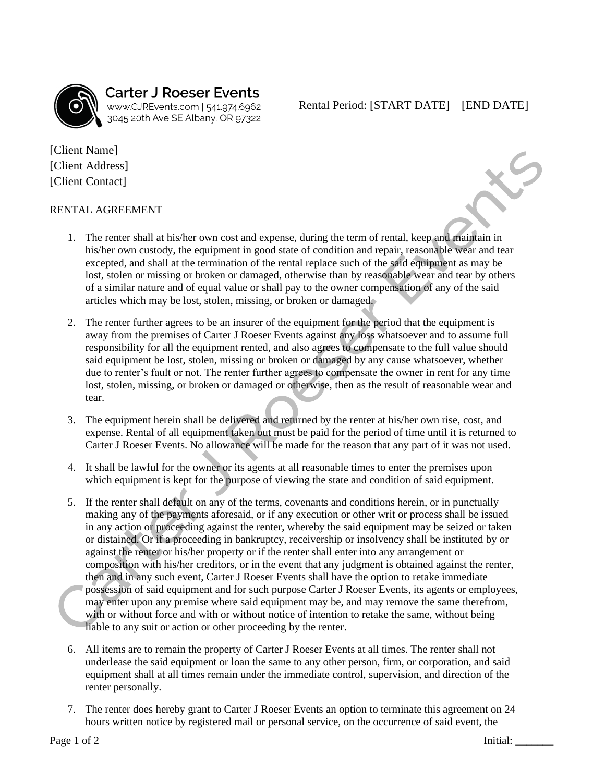

## **Carter J Roeser Events** www.CJREvents.com | 541.974.6962<br>3045 20th Ave SE Albany, OR 97322

Rental Period: [START DATE] – [END DATE]

[Client Name] [Client Address] [Client Contact]

## RENTAL AGREEMENT

- 1. The renter shall at his/her own cost and expense, during the term of rental, keep and maintain in his/her own custody, the equipment in good state of condition and repair, reasonable wear and tear excepted, and shall at the termination of the rental replace such of the said equipment as may be lost, stolen or missing or broken or damaged, otherwise than by reasonable wear and tear by others of a similar nature and of equal value or shall pay to the owner compensation of any of the said articles which may be lost, stolen, missing, or broken or damaged.
- 2. The renter further agrees to be an insurer of the equipment for the period that the equipment is away from the premises of Carter J Roeser Events against any loss whatsoever and to assume full responsibility for all the equipment rented, and also agrees to compensate to the full value should said equipment be lost, stolen, missing or broken or damaged by any cause whatsoever, whether due to renter's fault or not. The renter further agrees to compensate the owner in rent for any time lost, stolen, missing, or broken or damaged or otherwise, then as the result of reasonable wear and tear.
- 3. The equipment herein shall be delivered and returned by the renter at his/her own rise, cost, and expense. Rental of all equipment taken out must be paid for the period of time until it is returned to Carter J Roeser Events. No allowance will be made for the reason that any part of it was not used.
- 4. It shall be lawful for the owner or its agents at all reasonable times to enter the premises upon which equipment is kept for the purpose of viewing the state and condition of said equipment.
- 5. If the renter shall default on any of the terms, covenants and conditions herein, or in punctually making any of the payments aforesaid, or if any execution or other writ or process shall be issued in any action or proceeding against the renter, whereby the said equipment may be seized or taken or distained. Or if a proceeding in bankruptcy, receivership or insolvency shall be instituted by or against the renter or his/her property or if the renter shall enter into any arrangement or composition with his/her creditors, or in the event that any judgment is obtained against the renter, then and in any such event, Carter J Roeser Events shall have the option to retake immediate possession of said equipment and for such purpose Carter J Roeser Events, its agents or employees, may enter upon any premise where said equipment may be, and may remove the same therefrom, with or without force and with or without notice of intention to retake the same, without being liable to any suit or action or other proceeding by the renter.
- 6. All items are to remain the property of Carter J Roeser Events at all times. The renter shall not underlease the said equipment or loan the same to any other person, firm, or corporation, and said equipment shall at all times remain under the immediate control, supervision, and direction of the renter personally.
- 7. The renter does hereby grant to Carter J Roeser Events an option to terminate this agreement on 24 hours written notice by registered mail or personal service, on the occurrence of said event, the